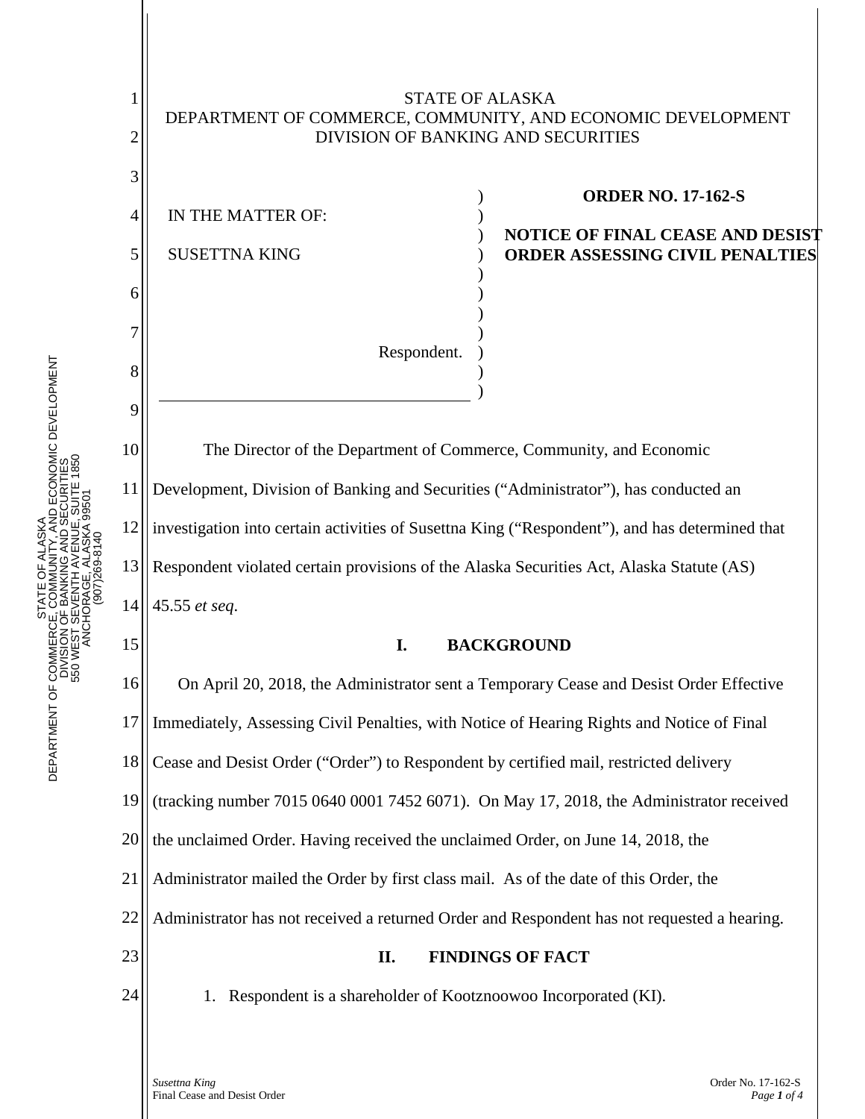

13 14 Respondent violated certain provisions of the Alaska Securities Act, Alaska Statute (AS) 45.55 *et seq*.

## **I. BACKGROUND**

16 17 18 19 20 21 22 23 24 On April 20, 2018, the Administrator sent a Temporary Cease and Desist Order Effective Immediately, Assessing Civil Penalties, with Notice of Hearing Rights and Notice of Final Cease and Desist Order ("Order") to Respondent by certified mail, restricted delivery (tracking number 7015 0640 0001 7452 6071). On May 17, 2018, the Administrator received the unclaimed Order. Having received the unclaimed Order, on June 14, 2018, the Administrator mailed the Order by first class mail. As of the date of this Order, the Administrator has not received a returned Order and Respondent has not requested a hearing. **II. FINDINGS OF FACT** 1. Respondent is a shareholder of Kootznoowoo Incorporated (KI).

15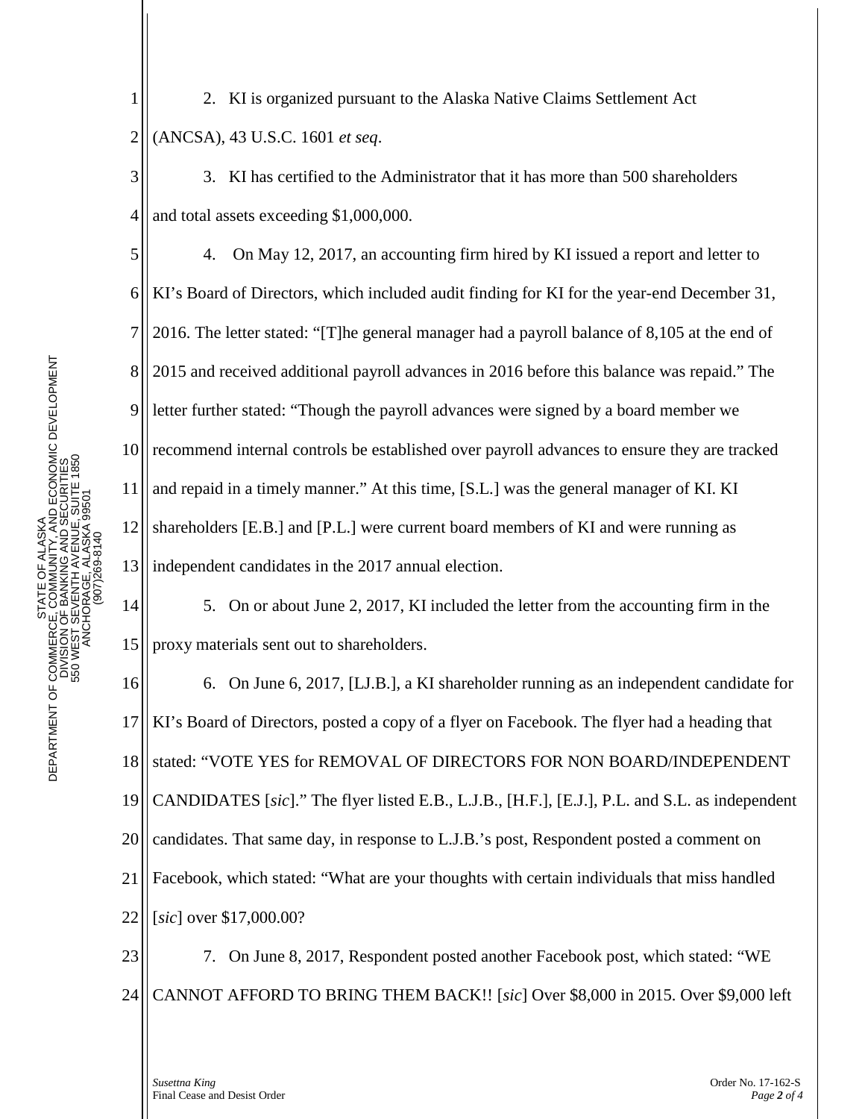2. KI is organized pursuant to the Alaska Native Claims Settlement Act (ANCSA), 43 U.S.C. 1601 *et seq*.

3. KI has certified to the Administrator that it has more than 500 shareholders and total assets exceeding \$1,000,000.

4. On May 12, 2017, an accounting firm hired by KI issued a report and letter to KI's Board of Directors, which included audit finding for KI for the year-end December 31, 2016. The letter stated: "[T]he general manager had a payroll balance of 8,105 at the end of 2015 and received additional payroll advances in 2016 before this balance was repaid." The letter further stated: "Though the payroll advances were signed by a board member we recommend internal controls be established over payroll advances to ensure they are tracked and repaid in a timely manner." At this time, [S.L.] was the general manager of KI. KI shareholders [E.B.] and [P.L.] were current board members of KI and were running as independent candidates in the 2017 annual election.

14 15 5. On or about June 2, 2017, KI included the letter from the accounting firm in the proxy materials sent out to shareholders.

16 17 18 19 20 21 22 6. On June 6, 2017, [LJ.B.], a KI shareholder running as an independent candidate for KI's Board of Directors, posted a copy of a flyer on Facebook. The flyer had a heading that stated: "VOTE YES for REMOVAL OF DIRECTORS FOR NON BOARD/INDEPENDENT CANDIDATES [*sic*]." The flyer listed E.B., L.J.B., [H.F.], [E.J.], P.L. and S.L. as independent candidates. That same day, in response to L.J.B.'s post, Respondent posted a comment on Facebook, which stated: "What are your thoughts with certain individuals that miss handled [*sic*] over \$17,000.00?

23 24 7. On June 8, 2017, Respondent posted another Facebook post, which stated: "WE CANNOT AFFORD TO BRING THEM BACK!! [*sic*] Over \$8,000 in 2015. Over \$9,000 left

1

2

3

4

5

6

7

8

9

10

11

12

13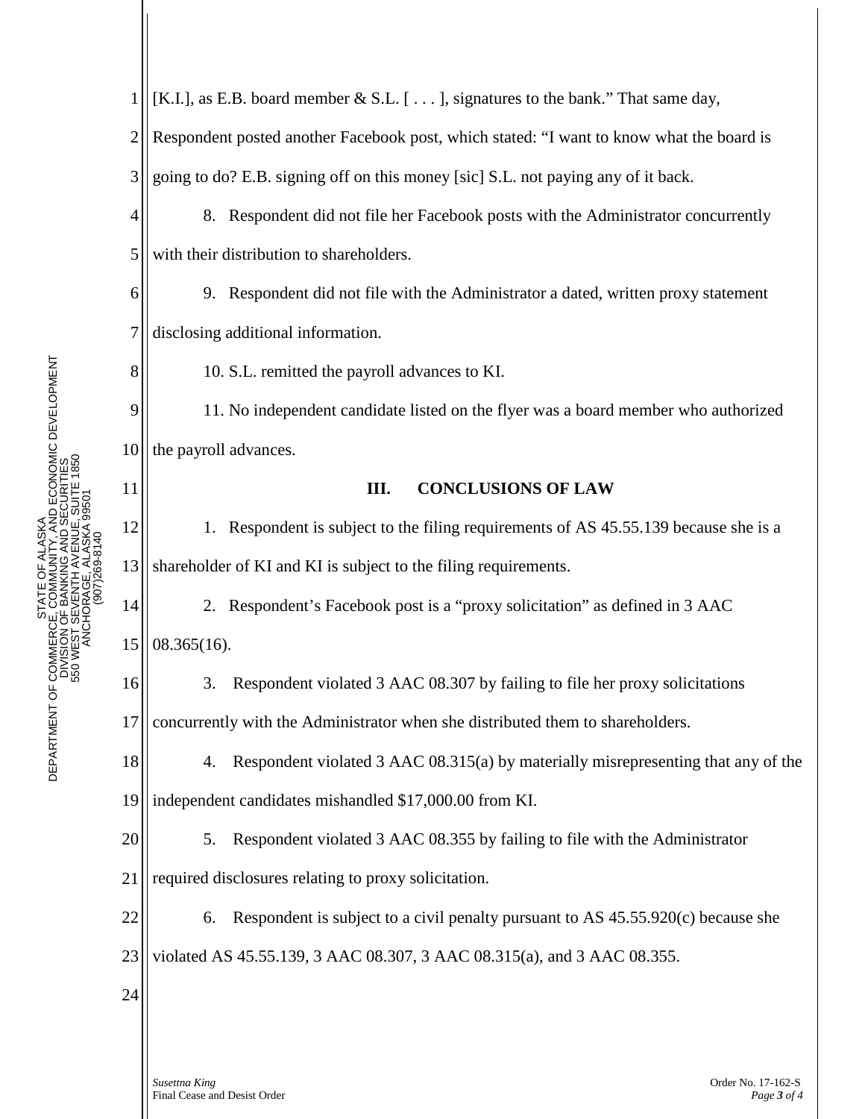2 Respondent posted another Facebook post, which stated: "I want to know what the board is 3 going to do? E.B. signing off on this money [sic] S.L. not paying any of it back. 4 8. Respondent did not file her Facebook posts with the Administrator concurrently 5 with their distribution to shareholders. 9. Respondent did not file with the Administrator a dated, written proxy statement 6 7 disclosing additional information. F ALASKA<br>JNITY, AND ECONOMIC DEVELOPMENT<br>NG AND SECURITIES<br>ALASKA 59501 8 10. S.L. remitted the payroll advances to KI. 9 11. No independent candidate listed on the flyer was a board member who authorized 10 the payroll advances. 550 WEST SEVENTH AVENUE, SUITE 1850 DIVISION OF BANKING AND SECURITIES 550 WEST SEVENTH AVENUE, SUITE 1850 DIVISION OF BANKING AND SECURITI 11 **III. CONCLUSIONS OF LAW** ANCHORAGE, ALASKA 99501 ANCHORAGE, ALASKA 995 PHONE: (907) 269-8140 12 1. Respondent is subject to the filing requirements of AS 45.55.139 because she is a (907)269-8140 13 shareholder of KI and KI is subject to the filing requirements. DEPARTMENT OF COMMERCE, COMMU<br>DIVISION OF BANKIN<br>DIVISION OF BANKIN<br>550 WEST SEVENTH /<br>550 WEST SEVENTH / 14 2. Respondent's Facebook post is a "proxy solicitation" as defined in 3 AAC 15 08.365(16). 16 3. Respondent violated 3 AAC 08.307 by failing to file her proxy solicitations 17 concurrently with the Administrator when she distributed them to shareholders. 18 4. Respondent violated 3 AAC 08.315(a) by materially misrepresenting that any of the 19 independent candidates mishandled \$17,000.00 from KI. 20 5. Respondent violated 3 AAC 08.355 by failing to file with the Administrator 21 required disclosures relating to proxy solicitation. 22 6. Respondent is subject to a civil penalty pursuant to AS 45.55.920(c) because she 23 violated AS 45.55.139, 3 AAC 08.307, 3 AAC 08.315(a), and 3 AAC 08.355.24

[K.I.], as E.B. board member  $\&$  S.L. [...], signatures to the bank." That same day,

## *Susettna King* Order No. 17-162-S Final Cease and Desist Order *Page 3 of 4*

STATE OF ALASKA DEPARTMENT OF COMMERCE, COMMUNITY, AND ECONOMIC DEVELOPMENT

STATE OF ALASKA DEPARTMENT OF COMMERCE, COMMUNITY, AND ECONOMIC DEVELOPMENT 1